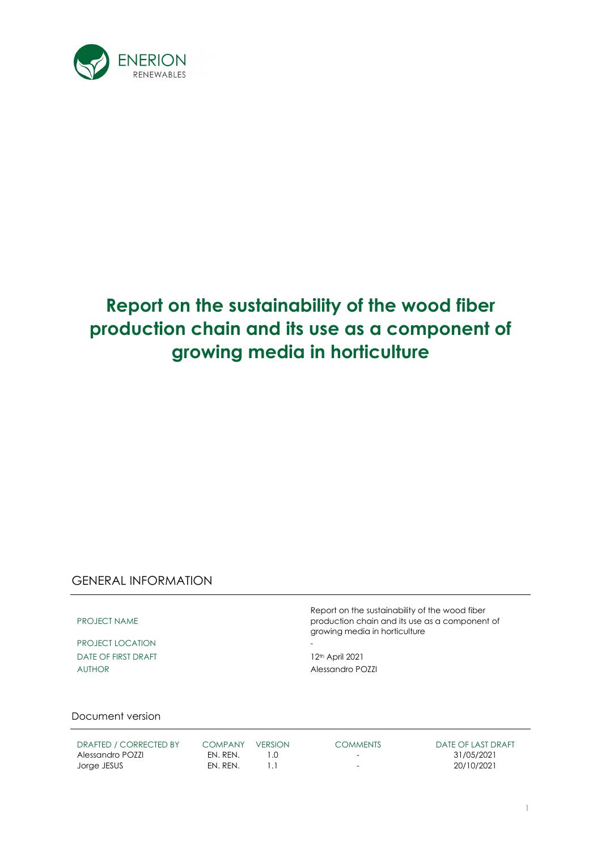

# **Report on the sustainability of the wood fiber production chain and its use as a component of growing media in horticulture**

## GENERAL INFORMATION

PROJECT NAME

PROJECT LOCATION DATE OF FIRST DRAFT 12<sup>th</sup> April 2021 AUTHOR Alessandro POZZI

Report on the sustainability of the wood fiber production chain and its use as a component of growing media in horticulture

Document version

| DRAFTED / CORRECTED BY | <b>COMPANY</b> | <b>VERSION</b> | <b>COMMENTS</b>          | DATE OF LAST DRAFT |
|------------------------|----------------|----------------|--------------------------|--------------------|
| Alessandro POZZI       | FN. RFN.       |                | $\overline{\phantom{0}}$ | 31/05/2021         |
| Jorge JESUS            | EN. REN.       |                | $\overline{\phantom{0}}$ | 20/10/2021         |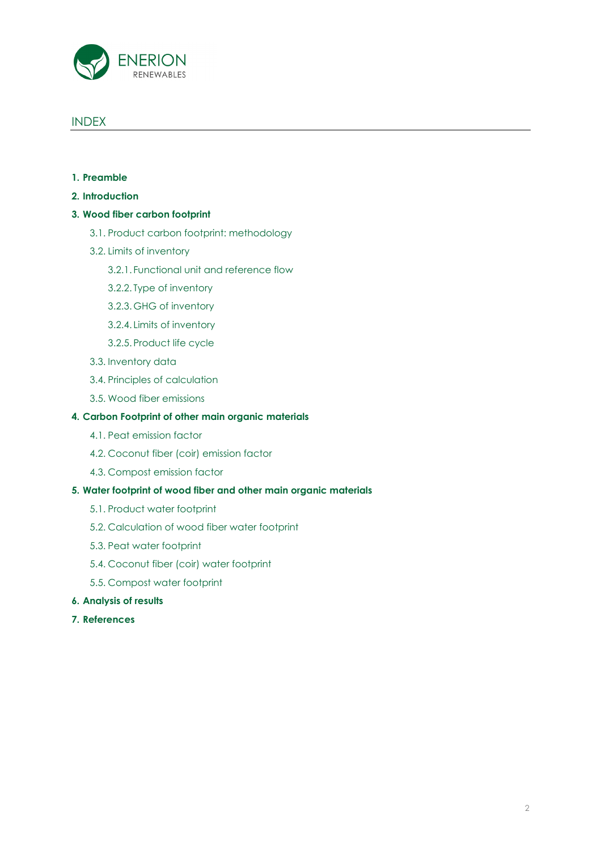

### INDEX

- **1. Preamble**
- **2. Introduction**

#### **3. Wood fiber carbon footprint**

- 3.1. Product carbon footprint: methodology
- 3.2. Limits of inventory
	- 3.2.1. Functional unit and reference flow
	- 3.2.2. Type of inventory
	- 3.2.3. GHG of inventory
	- 3.2.4. Limits of inventory
	- 3.2.5. Product life cycle
- 3.3. Inventory data
- 3.4. Principles of calculation
- 3.5. Wood fiber emissions

### **4. Carbon Footprint of other main organic materials**

- 4.1. Peat emission factor
- 4.2. Coconut fiber (coir) emission factor
- 4.3. Compost emission factor

### **5. Water footprint of wood fiber and other main organic materials**

- 5.1. Product water footprint
- 5.2. Calculation of wood fiber water footprint
- 5.3. Peat water footprint
- 5.4. Coconut fiber (coir) water footprint
- 5.5. Compost water footprint
- **6. Analysis of results**
- **7. References**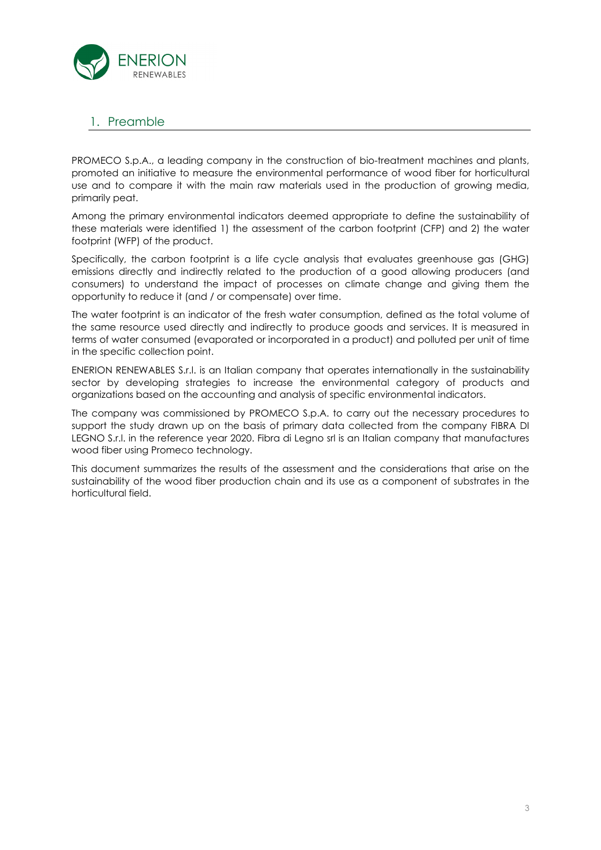

### 1. Preamble

PROMECO S.p.A., a leading company in the construction of bio-treatment machines and plants, promoted an initiative to measure the environmental performance of wood fiber for horticultural use and to compare it with the main raw materials used in the production of growing media, primarily peat.

Among the primary environmental indicators deemed appropriate to define the sustainability of these materials were identified 1) the assessment of the carbon footprint (CFP) and 2) the water footprint (WFP) of the product.

Specifically, the carbon footprint is a life cycle analysis that evaluates greenhouse gas (GHG) emissions directly and indirectly related to the production of a good allowing producers (and consumers) to understand the impact of processes on climate change and giving them the opportunity to reduce it (and / or compensate) over time.

The water footprint is an indicator of the fresh water consumption, defined as the total volume of the same resource used directly and indirectly to produce goods and services. It is measured in terms of water consumed (evaporated or incorporated in a product) and polluted per unit of time in the specific collection point.

ENERION RENEWABLES S.r.l. is an Italian company that operates internationally in the sustainability sector by developing strategies to increase the environmental category of products and organizations based on the accounting and analysis of specific environmental indicators.

The company was commissioned by PROMECO S.p.A. to carry out the necessary procedures to support the study drawn up on the basis of primary data collected from the company FIBRA DI LEGNO S.r.l. in the reference year 2020. Fibra di Legno srl is an Italian company that manufactures wood fiber using Promeco technology.

This document summarizes the results of the assessment and the considerations that arise on the sustainability of the wood fiber production chain and its use as a component of substrates in the horticultural field.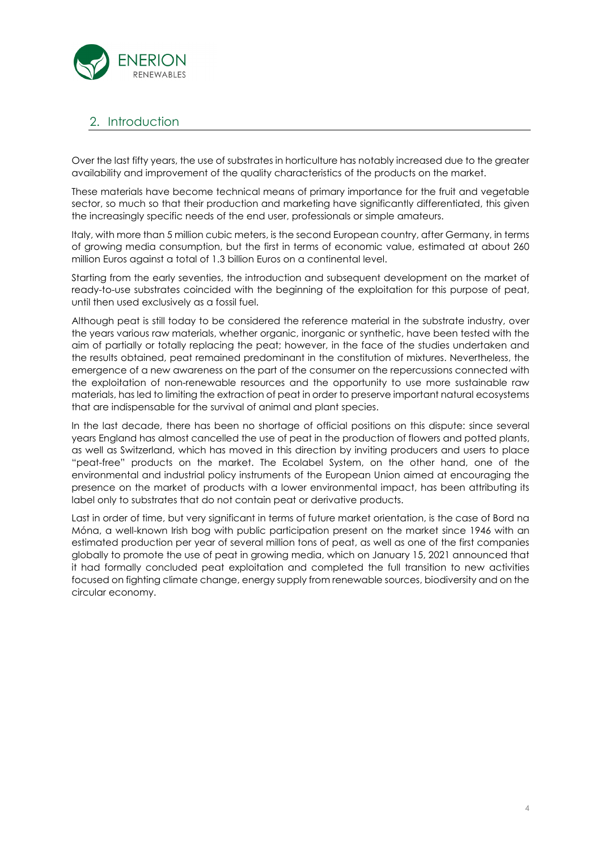

# 2. Introduction

Over the last fifty years, the use of substrates in horticulture has notably increased due to the greater availability and improvement of the quality characteristics of the products on the market.

These materials have become technical means of primary importance for the fruit and vegetable sector, so much so that their production and marketing have significantly differentiated, this given the increasingly specific needs of the end user, professionals or simple amateurs.

Italy, with more than 5 million cubic meters, is the second European country, after Germany, in terms of growing media consumption, but the first in terms of economic value, estimated at about 260 million Euros against a total of 1.3 billion Euros on a continental level.

Starting from the early seventies, the introduction and subsequent development on the market of ready-to-use substrates coincided with the beginning of the exploitation for this purpose of peat, until then used exclusively as a fossil fuel.

Although peat is still today to be considered the reference material in the substrate industry, over the years various raw materials, whether organic, inorganic or synthetic, have been tested with the aim of partially or totally replacing the peat; however, in the face of the studies undertaken and the results obtained, peat remained predominant in the constitution of mixtures. Nevertheless, the emergence of a new awareness on the part of the consumer on the repercussions connected with the exploitation of non-renewable resources and the opportunity to use more sustainable raw materials, has led to limiting the extraction of peat in order to preserve important natural ecosystems that are indispensable for the survival of animal and plant species.

In the last decade, there has been no shortage of official positions on this dispute: since several years England has almost cancelled the use of peat in the production of flowers and potted plants, as well as Switzerland, which has moved in this direction by inviting producers and users to place "peat-free" products on the market. The Ecolabel System, on the other hand, one of the environmental and industrial policy instruments of the European Union aimed at encouraging the presence on the market of products with a lower environmental impact, has been attributing its label only to substrates that do not contain peat or derivative products.

Last in order of time, but very significant in terms of future market orientation, is the case of Bord na Móna, a well-known Irish bog with public participation present on the market since 1946 with an estimated production per year of several million tons of peat, as well as one of the first companies globally to promote the use of peat in growing media, which on January 15, 2021 announced that it had formally concluded peat exploitation and completed the full transition to new activities focused on fighting climate change, energy supply from renewable sources, biodiversity and on the circular economy.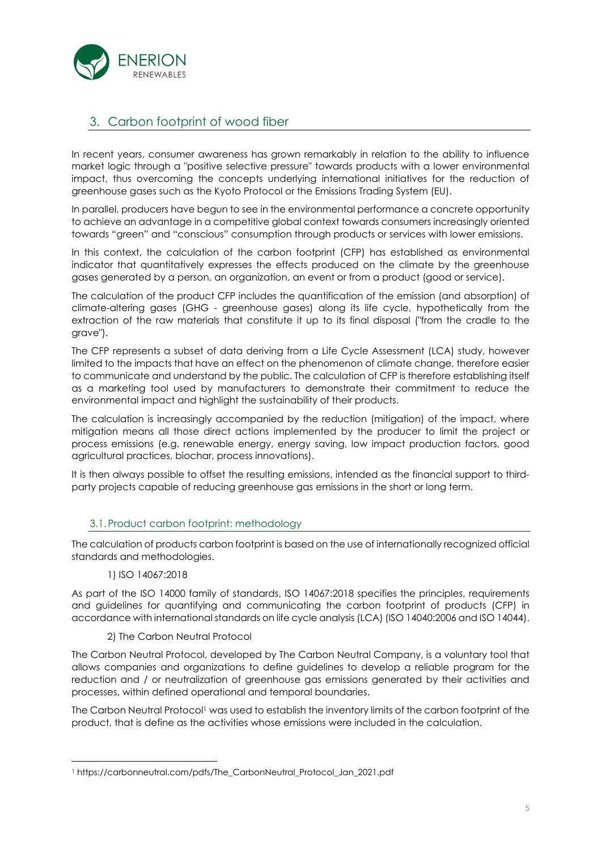

# 3. Carbon footprint of wood fiber

In recent years, consumer awareness has grown remarkably in relation to the ability to influence market logic through a "positive selective pressure" towards products with a lower environmental impact, thus overcoming the concepts underlying international initiatives for the reduction of greenhouse gases such as the Kyoto Protocol or the Emissions Trading System (EU).

In parallel, producers have begun to see in the environmental performance a concrete opportunity to achieve an advantage in a competitive global context towards consumers increasingly oriented towards "green" and "conscious" consumption through products or services with lower emissions.

In this context, the calculation of the carbon footprint (CFP) has established as environmental indicator that quantitatively expresses the effects produced on the climate by the greenhouse gases generated by a person, an organization, an event or from a product (good or service).

The calculation of the product CFP includes the quantification of the emission (and absorption) of climate-altering gases (GHG - greenhouse gases) along its life cycle, hypothetically from the extraction of the raw materials that constitute it up to its final disposal ("from the cradle to the grave").

The CFP represents a subset of data deriving from a Life Cycle Assessment (LCA) study, however limited to the impacts that have an effect on the phenomenon of climate change, therefore easier to communicate and understand by the public. The calculation of CFP is therefore establishing itself as a marketing tool used by manufacturers to demonstrate their commitment to reduce the environmental impact and highlight the sustainability of their products.

The calculation is increasingly accompanied by the reduction (mitigation) of the impact, where mitigation means all those direct actions implemented by the producer to limit the project or process emissions (e.g. renewable energy, energy saving, low impact production factors, good agricultural practices, biochar, process innovations).

It is then always possible to offset the resulting emissions, intended as the financial support to thirdparty projects capable of reducing greenhouse gas emissions in the short or long term.

### 3.1.Product carbon footprint: methodology

The calculation of products carbon footprint is based on the use of internationally recognized official standards and methodologies.

1) ISO 14067:2018

As part of the ISO 14000 family of standards, ISO 14067:2018 specifies the principles, requirements and guidelines for quantifying and communicating the carbon footprint of products (CFP) in accordance with international standards on life cycle analysis (LCA) (ISO 14040:2006 and ISO 14044).

### 2) The Carbon Neutral Protocol

The Carbon Neutral Protocol, developed by The Carbon Neutral Company, is a voluntary tool that allows companies and organizations to define guidelines to develop a reliable program for the reduction and / or neutralization of greenhouse gas emissions generated by their activities and processes, within defined operational and temporal boundaries.

The Carbon Neutral Protocol<sup>1</sup> was used to establish the inventory limits of the carbon footprint of the product, that is define as the activities whose emissions were included in the calculation.

<sup>1</sup> https://carbonneutral.com/pdfs/The\_CarbonNeutral\_Protocol\_Jan\_2021.pdf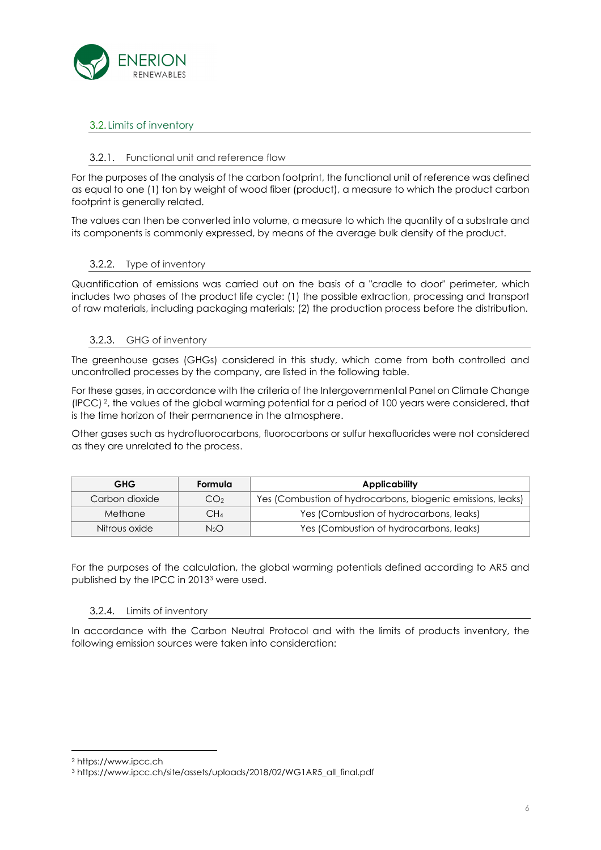

### 3.2. Limits of inventory

### 3.2.1. Functional unit and reference flow

For the purposes of the analysis of the carbon footprint, the functional unit of reference was defined as equal to one (1) ton by weight of wood fiber (product), a measure to which the product carbon footprint is generally related.

The values can then be converted into volume, a measure to which the quantity of a substrate and its components is commonly expressed, by means of the average bulk density of the product.

### 3.2.2. Type of inventory

Quantification of emissions was carried out on the basis of a "cradle to door" perimeter, which includes two phases of the product life cycle: (1) the possible extraction, processing and transport of raw materials, including packaging materials; (2) the production process before the distribution.

### 3.2.3. GHG of inventory

The greenhouse gases (GHGs) considered in this study, which come from both controlled and uncontrolled processes by the company, are listed in the following table.

For these gases, in accordance with the criteria of the Intergovernmental Panel on Climate Change (IPCC) 2, the values of the global warming potential for a period of 100 years were considered, that is the time horizon of their permanence in the atmosphere.

Other gases such as hydrofluorocarbons, fluorocarbons or sulfur hexafluorides were not considered as they are unrelated to the process.

| <b>GHG</b>     | Formula          | <b>Applicability</b>                                        |
|----------------|------------------|-------------------------------------------------------------|
| Carbon dioxide | CO <sub>2</sub>  | Yes (Combustion of hydrocarbons, biogenic emissions, leaks) |
| Methane        | CH4              | Yes (Combustion of hydrocarbons, leaks)                     |
| Nitrous oxide  | N <sub>2</sub> O | Yes (Combustion of hydrocarbons, leaks)                     |

For the purposes of the calculation, the global warming potentials defined according to AR5 and published by the IPCC in 2013<sup>3</sup> were used.

### 3.2.4. Limits of inventory

In accordance with the Carbon Neutral Protocol and with the limits of products inventory, the following emission sources were taken into consideration:

<sup>2</sup> https://www.ipcc.ch

<sup>3</sup> https://www.ipcc.ch/site/assets/uploads/2018/02/WG1AR5\_all\_final.pdf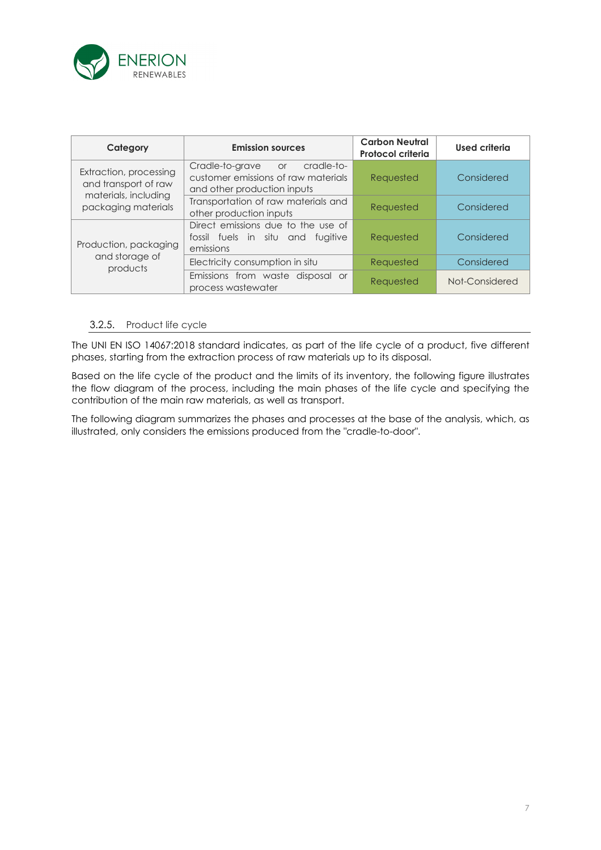

| Category                                       | <b>Emission sources</b>                                                                                | <b>Carbon Neutral</b><br>Protocol criteria | <b>Used criteria</b> |
|------------------------------------------------|--------------------------------------------------------------------------------------------------------|--------------------------------------------|----------------------|
| Extraction, processing<br>and transport of raw | Cradle-to-grave or<br>cradle-to-<br>customer emissions of raw materials<br>and other production inputs | Requested                                  | Considered           |
| materials, including<br>packaging materials    | Transportation of raw materials and<br>other production inputs                                         | Requested                                  | Considered           |
| Production, packaging                          | Direct emissions due to the use of<br>fossil fuels in situ and fugitive<br>emissions                   | Requested                                  | Considered           |
| and storage of<br>products                     | Electricity consumption in situ                                                                        | Requested                                  | Considered           |
|                                                | Emissions from waste disposal or<br>process wastewater                                                 | Requested                                  | Not-Considered       |

### 3.2.5. Product life cycle

The UNI EN ISO 14067:2018 standard indicates, as part of the life cycle of a product, five different phases, starting from the extraction process of raw materials up to its disposal.

Based on the life cycle of the product and the limits of its inventory, the following figure illustrates the flow diagram of the process, including the main phases of the life cycle and specifying the contribution of the main raw materials, as well as transport.

The following diagram summarizes the phases and processes at the base of the analysis, which, as illustrated, only considers the emissions produced from the "cradle-to-door".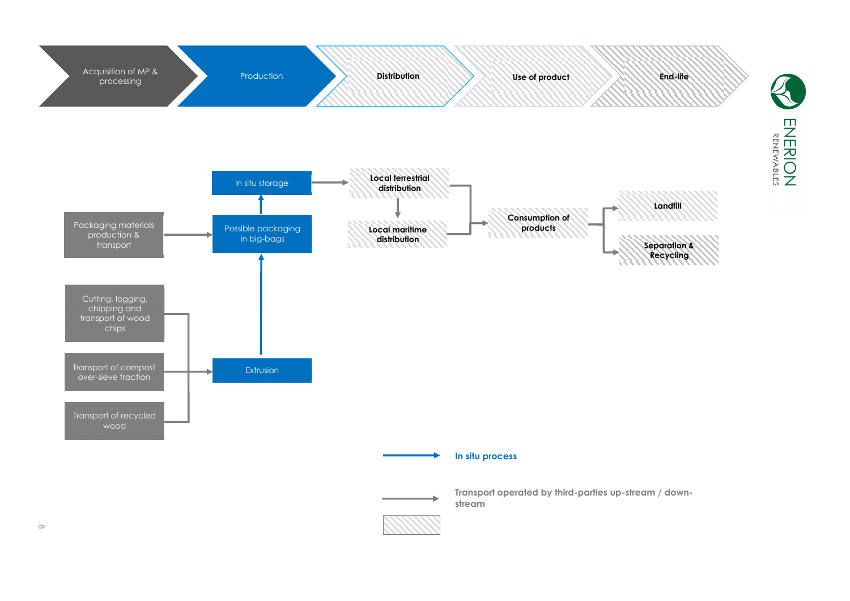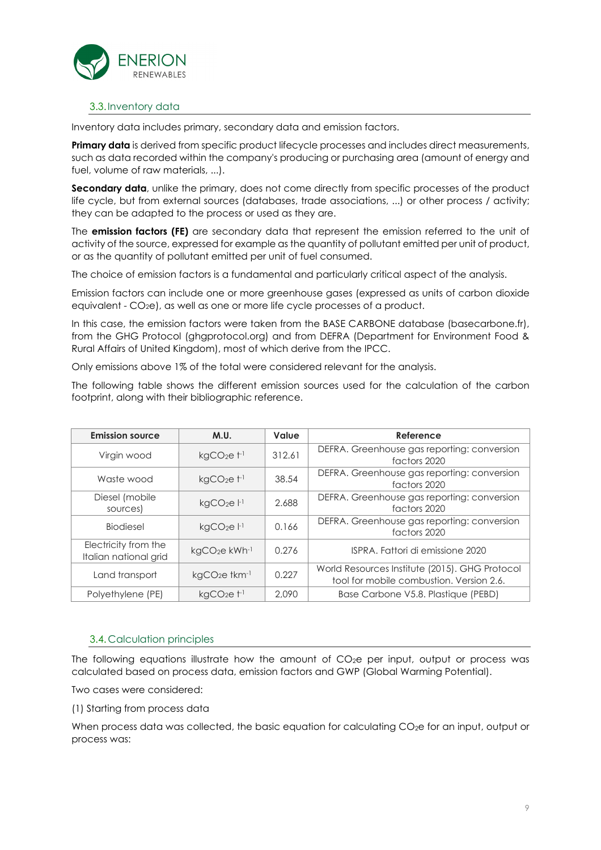

### 3.3.Inventory data

Inventory data includes primary, secondary data and emission factors.

**Primary data** is derived from specific product lifecycle processes and includes direct measurements, such as data recorded within the company's producing or purchasing area (amount of energy and fuel, volume of raw materials, ...).

Secondary data, unlike the primary, does not come directly from specific processes of the product life cycle, but from external sources (databases, trade associations, ...) or other process / activity; they can be adapted to the process or used as they are.

The **emission factors (FE)** are secondary data that represent the emission referred to the unit of activity of the source, expressed for example as the quantity of pollutant emitted per unit of product, or as the quantity of pollutant emitted per unit of fuel consumed.

The choice of emission factors is a fundamental and particularly critical aspect of the analysis.

Emission factors can include one or more greenhouse gases (expressed as units of carbon dioxide equivalent - CO<sub>2</sub>e), as well as one or more life cycle processes of a product.

In this case, the emission factors were taken from the BASE CARBONE database (basecarbone.fr), from the GHG Protocol (ghgprotocol.org) and from DEFRA (Department for Environment Food & Rural Affairs of United Kingdom), most of which derive from the IPCC.

Only emissions above 1% of the total were considered relevant for the analysis.

The following table shows the different emission sources used for the calculation of the carbon footprint, along with their bibliographic reference.

| <b>Emission source</b>                        | M.U.                                  | Value  | Reference                                                                                  |
|-----------------------------------------------|---------------------------------------|--------|--------------------------------------------------------------------------------------------|
| Virgin wood                                   | $kgCO2e+1$                            | 312.61 | DEFRA. Greenhouse gas reporting: conversion<br>factors 2020                                |
| Waste wood                                    | $kgCO2e+1$                            | 38.54  | DEFRA. Greenhouse gas reporting: conversion<br>factors 2020                                |
| Diesel (mobile<br>sources)                    | kgCO <sub>2</sub> e <sup>1</sup>      | 2.688  | DEFRA. Greenhouse gas reporting: conversion<br>factors 2020                                |
| <b>Biodiesel</b>                              | kgCO <sub>2</sub> e <sup>1</sup>      | 0.166  | DEFRA. Greenhouse gas reporting: conversion<br>factors 2020                                |
| Electricity from the<br>Italian national grid | kgCO <sub>2</sub> e kWh <sup>-1</sup> | 0.276  | ISPRA. Fattori di emissione 2020                                                           |
| Land transport                                | $kqCO2e$ tkm $^{-1}$                  | 0.227  | World Resources Institute (2015). GHG Protocol<br>tool for mobile combustion. Version 2.6. |
| Polyethylene (PE)                             | $kqCO2e+1$                            | 2.090  | Base Carbone V5.8. Plastique (PEBD)                                                        |

### 3.4. Calculation principles

The following equations illustrate how the amount of  $CO<sub>2</sub>e$  per input, output or process was calculated based on process data, emission factors and GWP (Global Warming Potential).

Two cases were considered:

(1) Starting from process data

When process data was collected, the basic equation for calculating CO<sub>2</sub>e for an input, output or process was: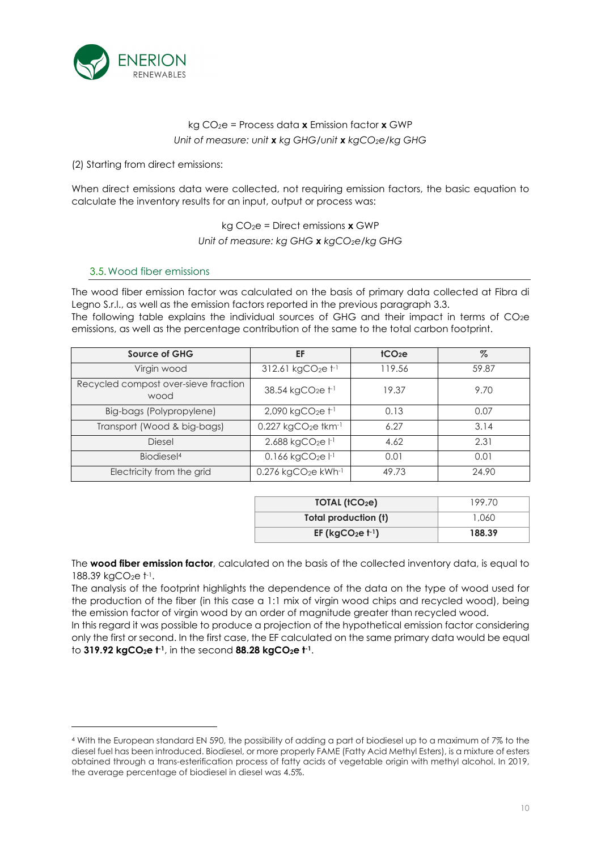

### kg CO*2*e = Process data **x** Emission factor **x** GWP *Unit of measure: unit x kg GHG/unit x kgCO2e/kg GHG*

(2) Starting from direct emissions:

When direct emissions data were collected, not requiring emission factors, the basic equation to calculate the inventory results for an input, output or process was:

kg CO2e = Direct emissions **x** GWP

*Unit of measure: kg GHG x kgCO2e/kg GHG* 

### 3.5.Wood fiber emissions

The wood fiber emission factor was calculated on the basis of primary data collected at Fibra di Legno S.r.l., as well as the emission factors reported in the previous paragraph 3.3. The following table explains the individual sources of GHG and their impact in terms of  $CO<sub>2</sub>e$ 

emissions, as well as the percentage contribution of the same to the total carbon footprint.

| <b>Source of GHG</b>                         | EF                                          | tCO <sub>2</sub> e | $\%$  |
|----------------------------------------------|---------------------------------------------|--------------------|-------|
| Virgin wood                                  | 312.61 kgCO <sub>2</sub> e t <sup>-1</sup>  | 119.56             | 59.87 |
| Recycled compost over-sieve fraction<br>wood | 38.54 kgCO <sub>2</sub> e t-1               | 19.37              | 9.70  |
| Big-bags (Polypropylene)                     | $2,090$ kgCO <sub>2</sub> e $t^{-1}$        | 0.13               | 0.07  |
| Transport (Wood & big-bags)                  | $0.227$ kgCO <sub>2</sub> e tkm-1           | 6.27               | 3.14  |
| <b>Diesel</b>                                | 2.688 kgCO <sub>2</sub> e l <sup>-1</sup>   | 4.62               | 2.31  |
| Biodiesel <sup>4</sup>                       | $0.166$ kgCO <sub>2</sub> e $ ^{-1}$        | 0.01               | 0.01  |
| Electricity from the grid                    | 0.276 kgCO <sub>2</sub> e kWh <sup>-1</sup> | 49.73              | 24.90 |

| TOIAL (tCO <sub>2</sub> e) | 199.70 |
|----------------------------|--------|
| Total production (t)       | 1.060  |
| EF ( $kgCO2e t-1$ )        | 188.39 |

The **wood fiber emission factor**, calculated on the basis of the collected inventory data, is equal to  $188.39 \text{ kgCO}_2$ e t $\cdot$ l.

The analysis of the footprint highlights the dependence of the data on the type of wood used for the production of the fiber (in this case a 1:1 mix of virgin wood chips and recycled wood), being the emission factor of virgin wood by an order of magnitude greater than recycled wood.

In this regard it was possible to produce a projection of the hypothetical emission factor considering only the first or second. In the first case, the EF calculated on the same primary data would be equal to **319.92 kgCO2e t-1**, in the second **88.28 kgCO2e t-1** .

<sup>4</sup> With the European standard EN 590, the possibility of adding a part of biodiesel up to a maximum of 7% to the diesel fuel has been introduced. Biodiesel, or more properly FAME (Fatty Acid Methyl Esters), is a mixture of esters obtained through a trans-esterification process of fatty acids of vegetable origin with methyl alcohol. In 2019, the average percentage of biodiesel in diesel was 4.5%.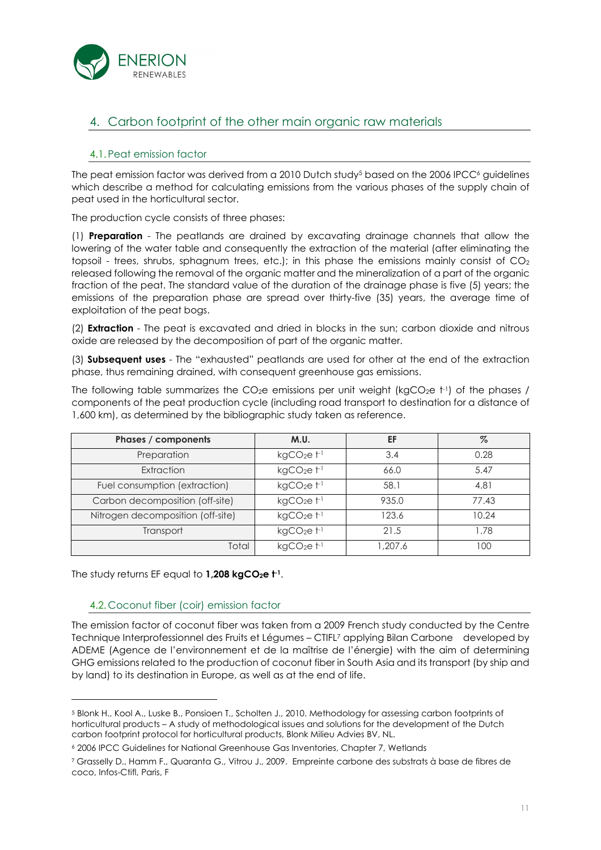

# 4. Carbon footprint of the other main organic raw materials

### 4.1.Peat emission factor

The peat emission factor was derived from a 2010 Dutch study<sup>5</sup> based on the 2006 IPCC<sup>6</sup> guidelines which describe a method for calculating emissions from the various phases of the supply chain of peat used in the horticultural sector.

The production cycle consists of three phases:

(1) **Preparation** - The peatlands are drained by excavating drainage channels that allow the lowering of the water table and consequently the extraction of the material (after eliminating the topsoil - trees, shrubs, sphagnum trees, etc.); in this phase the emissions mainly consist of  $CO<sub>2</sub>$ released following the removal of the organic matter and the mineralization of a part of the organic fraction of the peat. The standard value of the duration of the drainage phase is five (5) years; the emissions of the preparation phase are spread over thirty-five (35) years, the average time of exploitation of the peat bogs.

(2) **Extraction** - The peat is excavated and dried in blocks in the sun; carbon dioxide and nitrous oxide are released by the decomposition of part of the organic matter.

(3) **Subsequent uses** - The "exhausted" peatlands are used for other at the end of the extraction phase, thus remaining drained, with consequent greenhouse gas emissions.

The following table summarizes the CO<sub>2</sub>e emissions per unit weight (kgCO<sub>2</sub>e  $t$ <sup>1</sup>) of the phases / components of the peat production cycle (including road transport to destination for a distance of 1,600 km), as determined by the bibliographic study taken as reference.

| Phases / components               | M.U.                             | EF      | $\%$  |
|-----------------------------------|----------------------------------|---------|-------|
| Preparation                       | kgCO <sub>2</sub> e <sub>1</sub> | 3.4     | 0.28  |
| Extraction                        | $kgCO2e+1$                       | 66.0    | 5.47  |
| Fuel consumption (extraction)     | kgCO <sub>2</sub> e <sub>1</sub> | 58.1    | 4.81  |
| Carbon decomposition (off-site)   | kgCO <sub>2</sub> e <sub>1</sub> | 935.0   | 77.43 |
| Nitrogen decomposition (off-site) | kgCO <sub>2</sub> e <sub>1</sub> | 123.6   | 10.24 |
| Transport                         | $kgCO2e+1$                       | 21.5    | 1.78  |
| Total                             | $kqCO2e+1$                       | 1,207.6 | 100   |

The study returns EF equal to **1,208 kgCO2e t-1**.

### 4.2. Coconut fiber (coir) emission factor

The emission factor of coconut fiber was taken from a 2009 French study conducted by the Centre Technique Interprofessionnel des Fruits et Légumes – CTIFL<sup>7</sup> applying Bilan Carbone developed by ADEME (Agence de l'environnement et de la maîtrise de l'énergie) with the aim of determining GHG emissions related to the production of coconut fiber in South Asia and its transport (by ship and by land) to its destination in Europe, as well as at the end of life.

<sup>5</sup> Blonk H., Kool A., Luske B., Ponsioen T., Scholten J., 2010. Methodology for assessing carbon footprints of horticultural products – A study of methodological issues and solutions for the development of the Dutch carbon footprint protocol for horticultural products, Blonk Milieu Advies BV, NL.

<sup>6</sup> 2006 IPCC Guidelines for National Greenhouse Gas Inventories, Chapter 7, Wetlands

<sup>7</sup> Grasselly D., Hamm F., Quaranta G., Vitrou J., 2009. Empreinte carbone des substrats à base de fibres de coco, Infos-Ctifl, Paris, F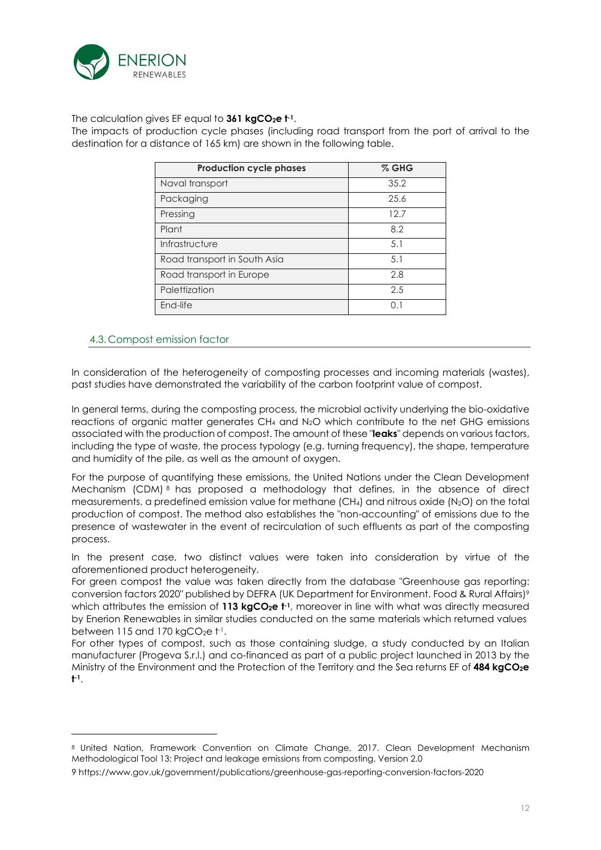

The calculation gives EF equal to **361 kgCO2e t-1**.

The impacts of production cycle phases (including road transport from the port of arrival to the destination for a distance of 165 km) are shown in the following table.

| <b>Production cycle phases</b> | $%$ GHG |
|--------------------------------|---------|
| Naval transport                | 35.2    |
| Packaging                      | 25.6    |
| Pressing                       | 12.7    |
| Plant                          | 8.2     |
| Infrastructure                 | 5.1     |
| Road transport in South Asia   | 5.1     |
| Road transport in Europe       | 2.8     |
| Palettization                  | 2.5     |
| End-life                       | 0.1     |

### 4.3. Compost emission factor

In consideration of the heterogeneity of composting processes and incoming materials (wastes), past studies have demonstrated the variability of the carbon footprint value of compost.

In general terms, during the composting process, the microbial activity underlying the bio-oxidative reactions of organic matter generates CH4 and N2O which contribute to the net GHG emissions associated with the production of compost. The amount of these "**leaks**" depends on various factors, including the type of waste, the process typology (e.g. turning frequency), the shape, temperature and humidity of the pile, as well as the amount of oxygen.

For the purpose of quantifying these emissions, the United Nations under the Clean Development Mechanism (CDM) <sup>8</sup> has proposed a methodology that defines, in the absence of direct measurements, a predefined emission value for methane (CH4) and nitrous oxide (N2O) on the total production of compost. The method also establishes the "non-accounting" of emissions due to the presence of wastewater in the event of recirculation of such effluents as part of the composting process.

In the present case, two distinct values were taken into consideration by virtue of the aforementioned product heterogeneity.

For green compost the value was taken directly from the database "Greenhouse gas reporting: conversion factors 2020" published by DEFRA (UK Department for Environment, Food & Rural Affairs)<sup>9</sup> which attributes the emission of **113 kgCO2e t-1**, moreover in line with what was directly measured by Enerion Renewables in similar studies conducted on the same materials which returned values between 115 and 170 kgCO $_2$ e t $\cdot$ 1.

For other types of compost, such as those containing sludge, a study conducted by an Italian manufacturer (Progeva S.r.l.) and co-financed as part of a public project launched in 2013 by the Ministry of the Environment and the Protection of the Territory and the Sea returns EF of **484 kgCO2e t -1** .

<sup>8</sup> United Nation, Framework Convention on Climate Change, 2017. Clean Development Mechanism Methodological Tool 13: Project and leakage emissions from composting, Version 2.0

<sup>9</sup> https://www.gov.uk/government/publications/greenhouse-gas-reporting-conversion-factors-2020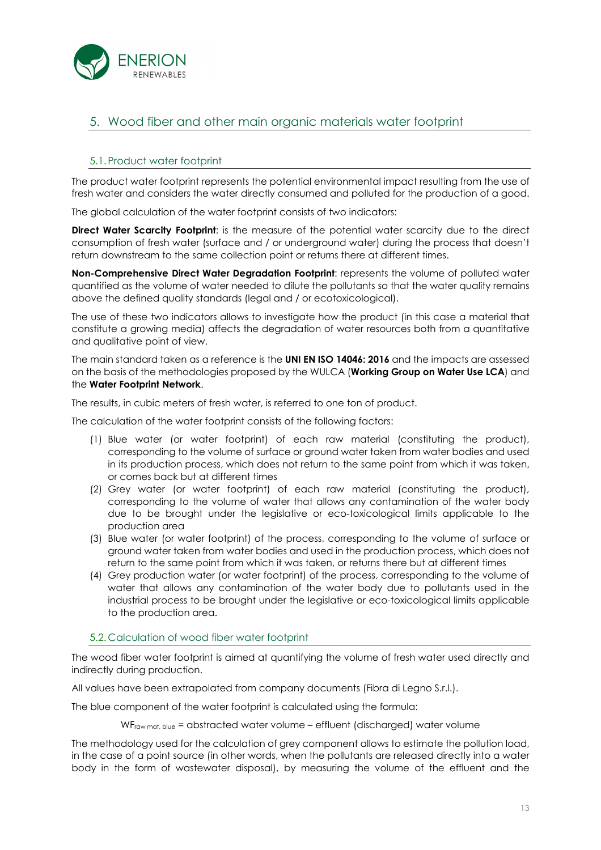

# 5. Wood fiber and other main organic materials water footprint

### 5.1.Product water footprint

The product water footprint represents the potential environmental impact resulting from the use of fresh water and considers the water directly consumed and polluted for the production of a good.

The global calculation of the water footprint consists of two indicators:

**Direct Water Scarcity Footprint:** is the measure of the potential water scarcity due to the direct consumption of fresh water (surface and / or underground water) during the process that doesn't return downstream to the same collection point or returns there at different times.

**Non-Comprehensive Direct Water Degradation Footprint**: represents the volume of polluted water quantified as the volume of water needed to dilute the pollutants so that the water quality remains above the defined quality standards (legal and / or ecotoxicological).

The use of these two indicators allows to investigate how the product (in this case a material that constitute a growing media) affects the degradation of water resources both from a quantitative and qualitative point of view.

The main standard taken as a reference is the **UNI EN ISO 14046: 2016** and the impacts are assessed on the basis of the methodologies proposed by the WULCA (**Working Group on Water Use LCA**) and the **Water Footprint Network**.

The results, in cubic meters of fresh water, is referred to one ton of product.

The calculation of the water footprint consists of the following factors:

- (1) Blue water (or water footprint) of each raw material (constituting the product), corresponding to the volume of surface or ground water taken from water bodies and used in its production process, which does not return to the same point from which it was taken, or comes back but at different times
- (2) Grey water (or water footprint) of each raw material (constituting the product), corresponding to the volume of water that allows any contamination of the water body due to be brought under the legislative or eco-toxicological limits applicable to the production area
- (3) Blue water (or water footprint) of the process, corresponding to the volume of surface or ground water taken from water bodies and used in the production process, which does not return to the same point from which it was taken, or returns there but at different times
- (4) Grey production water (or water footprint) of the process, corresponding to the volume of water that allows any contamination of the water body due to pollutants used in the industrial process to be brought under the legislative or eco-toxicological limits applicable to the production area.

### 5.2. Calculation of wood fiber water footprint

The wood fiber water footprint is aimed at quantifying the volume of fresh water used directly and indirectly during production.

All values have been extrapolated from company documents (Fibra di Legno S.r.l.).

The blue component of the water footprint is calculated using the formula:

 $WF_{row \text{ mat, blue}} =$  abstracted water volume – effluent (discharged) water volume

The methodology used for the calculation of grey component allows to estimate the pollution load, in the case of a point source (in other words, when the pollutants are released directly into a water body in the form of wastewater disposal), by measuring the volume of the effluent and the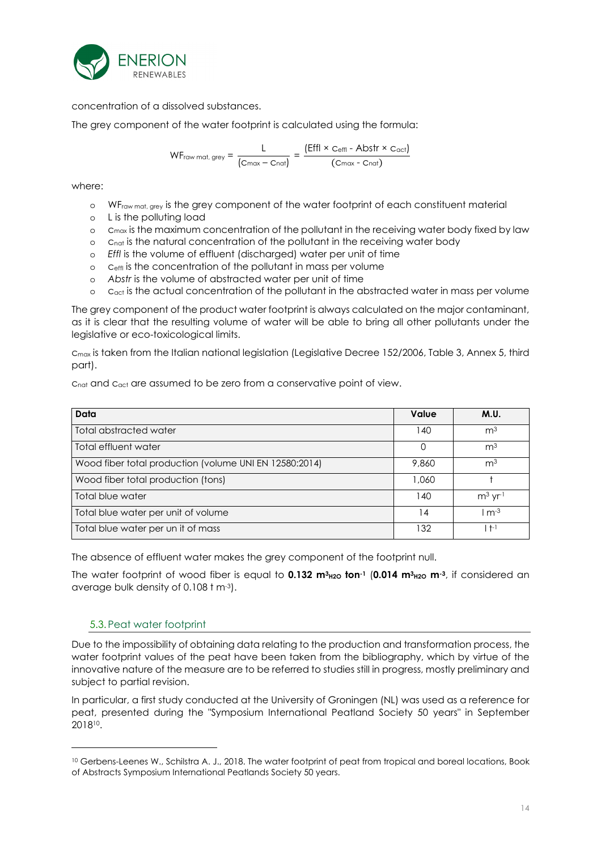

concentration of a dissolved substances.

The grey component of the water footprint is calculated using the formula:

$$
WF_{\text{raw mat, grey}} = \frac{L}{(C_{\text{max}} - C_{\text{nat}})} = \frac{(Effl \times C_{\text{effl}} - Abstr \times C_{\text{act}})}{(C_{\text{max}} - C_{\text{nat}})}
$$

where:

- o WF<sub>raw mat, grey</sub> is the grey component of the water footprint of each constituent material
- o L is the polluting load
- $\circ$  c<sub>max</sub> is the maximum concentration of the pollutant in the receiving water body fixed by law
- o cnat is the natural concentration of the pollutant in the receiving water body
- o *Effl* is the volume of effluent (discharged) water per unit of time
- o ceffl is the concentration of the pollutant in mass per volume
- o *Abstr* is the volume of abstracted water per unit of time
- $\circ$   $\circ$   $\circ$  c<sub>act</sub> is the actual concentration of the pollutant in the abstracted water in mass per volume

The grey component of the product water footprint is always calculated on the major contaminant, as it is clear that the resulting volume of water will be able to bring all other pollutants under the legislative or eco-toxicological limits.

c<sub>max</sub> is taken from the Italian national legislation (Legislative Decree 152/2006, Table 3, Annex 5, third part).

c<sub>nat</sub> and c<sub>act</sub> are assumed to be zero from a conservative point of view.

| Data                                                   | Value | M.U.           |
|--------------------------------------------------------|-------|----------------|
| Total abstracted water                                 | 140   | m <sup>3</sup> |
| Total effluent water                                   |       | m <sup>3</sup> |
| Wood fiber total production (volume UNI EN 12580:2014) | 9,860 | m <sup>3</sup> |
| Wood fiber total production (tons)                     | 1,060 |                |
| Total blue water                                       | 140   | $m3$ yr-1      |
| Total blue water per unit of volume                    | 14    | $m-3$          |
| Total blue water per un it of mass                     | 132   | $+1$           |

The absence of effluent water makes the grey component of the footprint null.

The water footprint of wood fiber is equal to **0.132 m3H2O ton-1** (**0.014 m3H2O m-3**, if considered an average bulk density of 0.108 t m-3).

### 5.3.Peat water footprint

Due to the impossibility of obtaining data relating to the production and transformation process, the water footprint values of the peat have been taken from the bibliography, which by virtue of the innovative nature of the measure are to be referred to studies still in progress, mostly preliminary and subject to partial revision.

In particular, a first study conducted at the University of Groningen (NL) was used as a reference for peat, presented during the "Symposium International Peatland Society 50 years" in September 2018<sup>10</sup> .

<sup>10</sup> Gerbens-Leenes W., Schilstra A. J., 2018. The water footprint of peat from tropical and boreal locations, Book of Abstracts Symposium International Peatlands Society 50 years.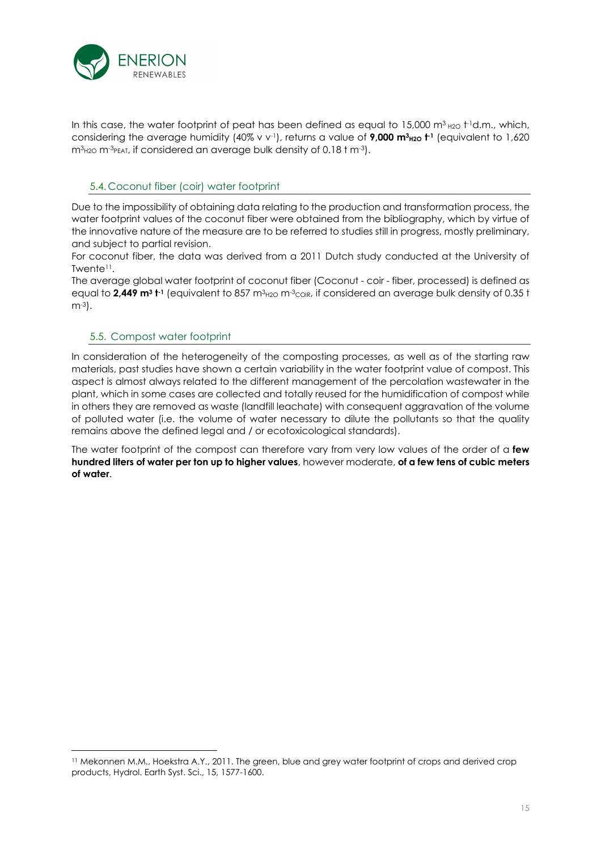

In this case, the water footprint of peat has been defined as equal to 15,000 m<sup>3</sup>  $_{\rm H2O}$  t<sup>1</sup>d.m., which, considering the average humidity (40% v v<sup>-1</sup>), returns a value of **9,000 m<sup>3</sup>H2O**  $t$ <sup>1</sup> (equivalent to 1,620  $m<sup>3</sup>_{H2O} m<sup>-3</sup>_{PEAI}$ , if considered an average bulk density of 0.18 t m<sup>-3</sup>).

### 5.4. Coconut fiber (coir) water footprint

Due to the impossibility of obtaining data relating to the production and transformation process, the water footprint values of the coconut fiber were obtained from the bibliography, which by virtue of the innovative nature of the measure are to be referred to studies still in progress, mostly preliminary, and subject to partial revision.

For coconut fiber, the data was derived from a 2011 Dutch study conducted at the University of Twente<sup>11</sup> .

The average global water footprint of coconut fiber (Coconut - coir - fiber, processed) is defined as equal to **2,449 m3 t**+1 (equivalent to 857 m3<sub>H2O</sub> m-3<sub>COIR</sub>, if considered an average bulk density of 0.35 t m-3).

### 5.5. Compost water footprint

In consideration of the heterogeneity of the composting processes, as well as of the starting raw materials, past studies have shown a certain variability in the water footprint value of compost. This aspect is almost always related to the different management of the percolation wastewater in the plant, which in some cases are collected and totally reused for the humidification of compost while in others they are removed as waste (landfill leachate) with consequent aggravation of the volume of polluted water (i.e. the volume of water necessary to dilute the pollutants so that the quality remains above the defined legal and / or ecotoxicological standards).

The water footprint of the compost can therefore vary from very low values of the order of a **few hundred liters of water per ton up to higher values**, however moderate, **of a few tens of cubic meters of water**.

<sup>11</sup> Mekonnen M.M., Hoekstra A.Y., 2011. The green, blue and grey water footprint of crops and derived crop products, Hydrol. Earth Syst. Sci., 15, 1577-1600.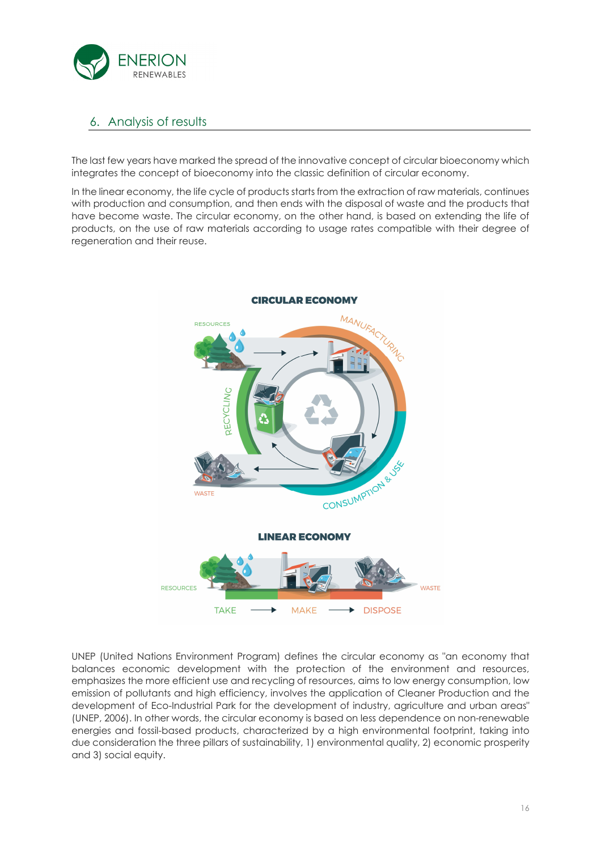

# 6. Analysis of results

The last few years have marked the spread of the innovative concept of circular bioeconomy which integrates the concept of bioeconomy into the classic definition of circular economy.

In the linear economy, the life cycle of products starts from the extraction of raw materials, continues with production and consumption, and then ends with the disposal of waste and the products that have become waste. The circular economy, on the other hand, is based on extending the life of products, on the use of raw materials according to usage rates compatible with their degree of regeneration and their reuse.



UNEP (United Nations Environment Program) defines the circular economy as "an economy that balances economic development with the protection of the environment and resources, emphasizes the more efficient use and recycling of resources, aims to low energy consumption, low emission of pollutants and high efficiency, involves the application of Cleaner Production and the development of Eco-Industrial Park for the development of industry, agriculture and urban areas" (UNEP, 2006). In other words, the circular economy is based on less dependence on non-renewable energies and fossil-based products, characterized by a high environmental footprint, taking into due consideration the three pillars of sustainability, 1) environmental quality, 2) economic prosperity and 3) social equity.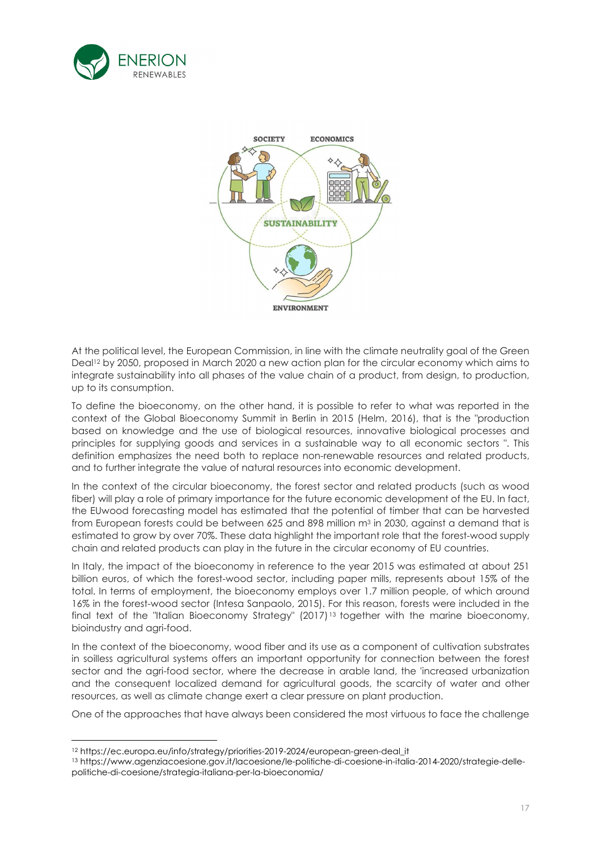



At the political level, the European Commission, in line with the climate neutrality goal of the Green Deal12 by 2050, proposed in March 2020 a new action plan for the circular economy which aims to integrate sustainability into all phases of the value chain of a product, from design, to production, up to its consumption.

To define the bioeconomy, on the other hand, it is possible to refer to what was reported in the context of the Global Bioeconomy Summit in Berlin in 2015 (Helm, 2016), that is the "production based on knowledge and the use of biological resources, innovative biological processes and principles for supplying goods and services in a sustainable way to all economic sectors ". This definition emphasizes the need both to replace non-renewable resources and related products, and to further integrate the value of natural resources into economic development.

In the context of the circular bioeconomy, the forest sector and related products (such as wood fiber) will play a role of primary importance for the future economic development of the EU. In fact, the EUwood forecasting model has estimated that the potential of timber that can be harvested from European forests could be between 625 and 898 million m<sup>3</sup> in 2030, against a demand that is estimated to grow by over 70%. These data highlight the important role that the forest-wood supply chain and related products can play in the future in the circular economy of EU countries.

In Italy, the impact of the bioeconomy in reference to the year 2015 was estimated at about 251 billion euros, of which the forest-wood sector, including paper mills, represents about 15% of the total. In terms of employment, the bioeconomy employs over 1.7 million people, of which around 16% in the forest-wood sector (Intesa Sanpaolo, 2015). For this reason, forests were included in the final text of the "Italian Bioeconomy Strategy" (2017) <sup>13</sup> together with the marine bioeconomy, bioindustry and agri-food.

In the context of the bioeconomy, wood fiber and its use as a component of cultivation substrates in soilless agricultural systems offers an important opportunity for connection between the forest sector and the agri-food sector, where the decrease in arable land, the 'increased urbanization and the consequent localized demand for agricultural goods, the scarcity of water and other resources, as well as climate change exert a clear pressure on plant production.

One of the approaches that have always been considered the most virtuous to face the challenge

<sup>12</sup> https://ec.europa.eu/info/strategy/priorities-2019-2024/european-green-deal\_it

<sup>13</sup> https://www.agenziacoesione.gov.it/lacoesione/le-politiche-di-coesione-in-italia-2014-2020/strategie-dellepolitiche-di-coesione/strategia-italiana-per-la-bioeconomia/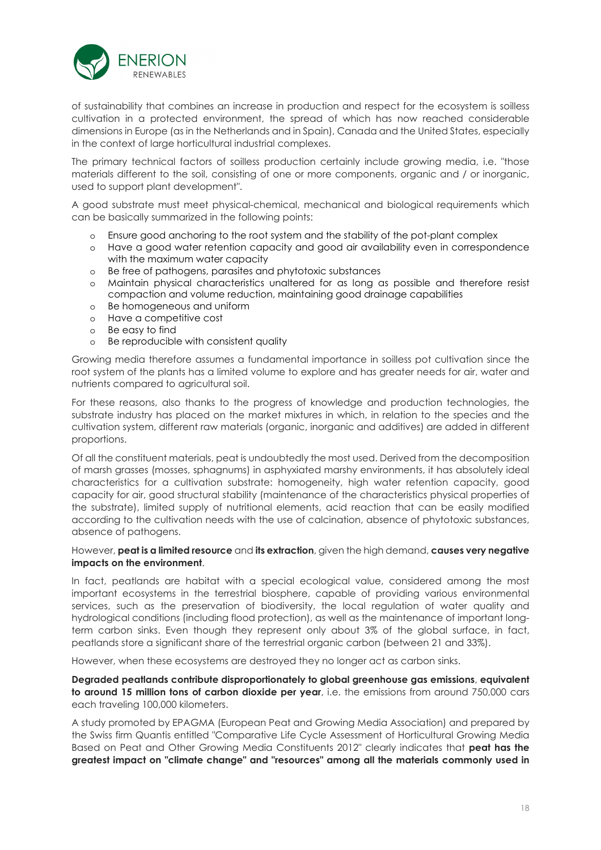

of sustainability that combines an increase in production and respect for the ecosystem is soilless cultivation in a protected environment, the spread of which has now reached considerable dimensions in Europe (as in the Netherlands and in Spain), Canada and the United States, especially in the context of large horticultural industrial complexes.

The primary technical factors of soilless production certainly include growing media, i.e. "those materials different to the soil, consisting of one or more components, organic and / or inorganic, used to support plant development".

A good substrate must meet physical-chemical, mechanical and biological requirements which can be basically summarized in the following points:

- o Ensure good anchoring to the root system and the stability of the pot-plant complex
- o Have a good water retention capacity and good air availability even in correspondence with the maximum water capacity
- o Be free of pathogens, parasites and phytotoxic substances
- o Maintain physical characteristics unaltered for as long as possible and therefore resist compaction and volume reduction, maintaining good drainage capabilities
- o Be homogeneous and uniform
- o Have a competitive cost
- o Be easy to find
- o Be reproducible with consistent quality

Growing media therefore assumes a fundamental importance in soilless pot cultivation since the root system of the plants has a limited volume to explore and has greater needs for air, water and nutrients compared to agricultural soil.

For these reasons, also thanks to the progress of knowledge and production technologies, the substrate industry has placed on the market mixtures in which, in relation to the species and the cultivation system, different raw materials (organic, inorganic and additives) are added in different proportions.

Of all the constituent materials, peat is undoubtedly the most used. Derived from the decomposition of marsh grasses (mosses, sphagnums) in asphyxiated marshy environments, it has absolutely ideal characteristics for a cultivation substrate: homogeneity, high water retention capacity, good capacity for air, good structural stability (maintenance of the characteristics physical properties of the substrate), limited supply of nutritional elements, acid reaction that can be easily modified according to the cultivation needs with the use of calcination, absence of phytotoxic substances, absence of pathogens.

#### However, **peat is a limited resource** and **its extraction**, given the high demand, **causes very negative impacts on the environment**.

In fact, peatlands are habitat with a special ecological value, considered among the most important ecosystems in the terrestrial biosphere, capable of providing various environmental services, such as the preservation of biodiversity, the local regulation of water quality and hydrological conditions (including flood protection), as well as the maintenance of important longterm carbon sinks. Even though they represent only about 3% of the global surface, in fact, peatlands store a significant share of the terrestrial organic carbon (between 21 and 33%).

However, when these ecosystems are destroyed they no longer act as carbon sinks.

**Degraded peatlands contribute disproportionately to global greenhouse gas emissions**, **equivalent to around 15 million tons of carbon dioxide per year**, i.e. the emissions from around 750,000 cars each traveling 100,000 kilometers.

A study promoted by EPAGMA (European Peat and Growing Media Association) and prepared by the Swiss firm Quantis entitled "Comparative Life Cycle Assessment of Horticultural Growing Media Based on Peat and Other Growing Media Constituents 2012" clearly indicates that **peat has the greatest impact on "climate change" and "resources" among all the materials commonly used in**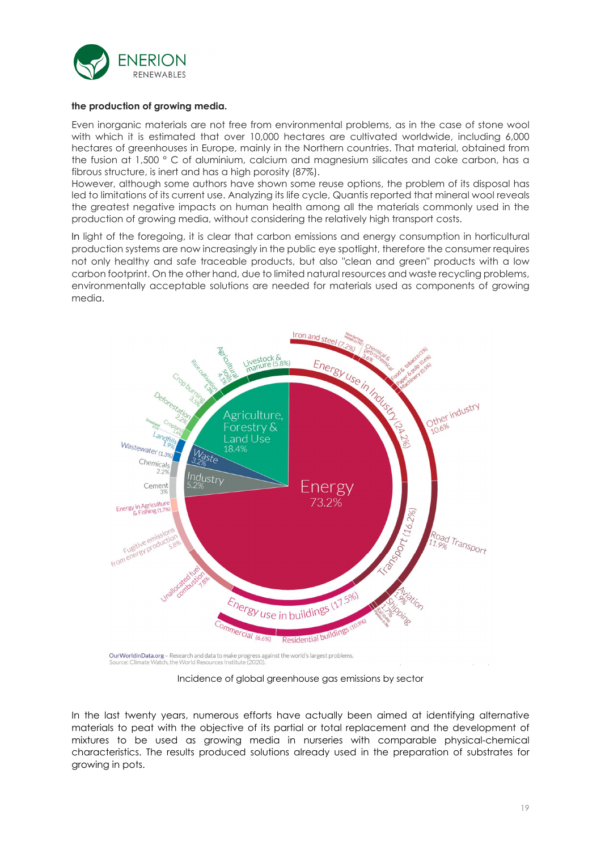

#### **the production of growing media.**

Even inorganic materials are not free from environmental problems, as in the case of stone wool with which it is estimated that over 10,000 hectares are cultivated worldwide, including 6,000 hectares of greenhouses in Europe, mainly in the Northern countries. That material, obtained from the fusion at 1,500 ° C of aluminium, calcium and magnesium silicates and coke carbon, has a fibrous structure, is inert and has a high porosity (87%).

However, although some authors have shown some reuse options, the problem of its disposal has led to limitations of its current use. Analyzing its life cycle, Quantis reported that mineral wool reveals the greatest negative impacts on human health among all the materials commonly used in the production of growing media, without considering the relatively high transport costs.

In light of the foregoing, it is clear that carbon emissions and energy consumption in horticultural production systems are now increasingly in the public eye spotlight, therefore the consumer requires not only healthy and safe traceable products, but also "clean and green" products with a low carbon footprint. On the other hand, due to limited natural resources and waste recycling problems, environmentally acceptable solutions are needed for materials used as components of growing media.



Incidence of global greenhouse gas emissions by sector

In the last twenty years, numerous efforts have actually been aimed at identifying alternative materials to peat with the objective of its partial or total replacement and the development of mixtures to be used as growing media in nurseries with comparable physical-chemical characteristics. The results produced solutions already used in the preparation of substrates for growing in pots.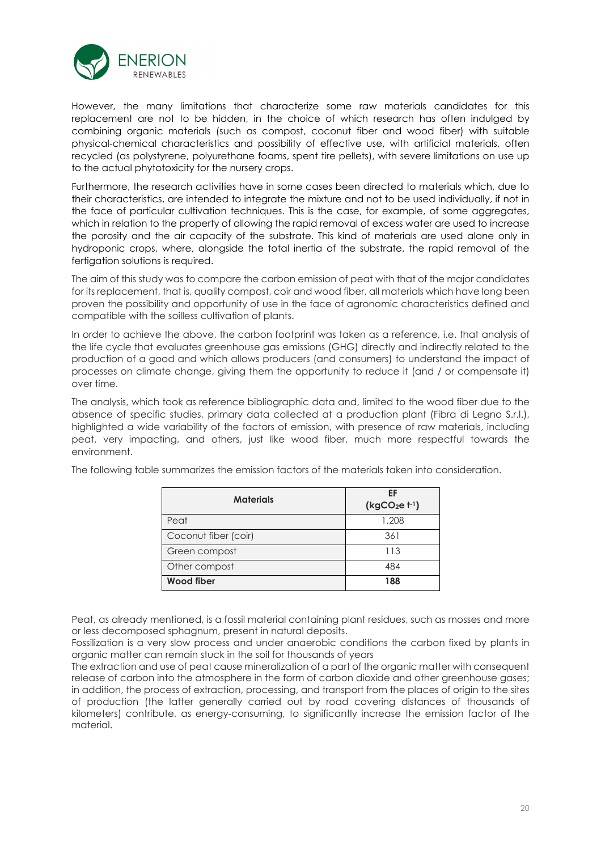

However, the many limitations that characterize some raw materials candidates for this replacement are not to be hidden, in the choice of which research has often indulged by combining organic materials (such as compost, coconut fiber and wood fiber) with suitable physical-chemical characteristics and possibility of effective use, with artificial materials, often recycled (as polystyrene, polyurethane foams, spent tire pellets), with severe limitations on use up to the actual phytotoxicity for the nursery crops.

Furthermore, the research activities have in some cases been directed to materials which, due to their characteristics, are intended to integrate the mixture and not to be used individually, if not in the face of particular cultivation techniques. This is the case, for example, of some aggregates, which in relation to the property of allowing the rapid removal of excess water are used to increase the porosity and the air capacity of the substrate. This kind of materials are used alone only in hydroponic crops, where, alongside the total inertia of the substrate, the rapid removal of the fertigation solutions is required.

The aim of this study was to compare the carbon emission of peat with that of the major candidates for its replacement, that is, quality compost, coir and wood fiber, all materials which have long been proven the possibility and opportunity of use in the face of agronomic characteristics defined and compatible with the soilless cultivation of plants.

In order to achieve the above, the carbon footprint was taken as a reference, i.e. that analysis of the life cycle that evaluates greenhouse gas emissions (GHG) directly and indirectly related to the production of a good and which allows producers (and consumers) to understand the impact of processes on climate change, giving them the opportunity to reduce it (and / or compensate it) over time.

The analysis, which took as reference bibliographic data and, limited to the wood fiber due to the absence of specific studies, primary data collected at a production plant (Fibra di Legno S.r.l.), highlighted a wide variability of the factors of emission, with presence of raw materials, including peat, very impacting, and others, just like wood fiber, much more respectful towards the environment.

| <b>Materials</b>     | FF<br>$(kgCO2e+1)$ |
|----------------------|--------------------|
| Peat                 | 1,208              |
| Coconut fiber (coir) | 361                |
| Green compost        | 113                |
| Other compost        | 484                |
| Wood fiber           | 188                |

The following table summarizes the emission factors of the materials taken into consideration.

Peat, as already mentioned, is a fossil material containing plant residues, such as mosses and more or less decomposed sphagnum, present in natural deposits.

Fossilization is a very slow process and under anaerobic conditions the carbon fixed by plants in organic matter can remain stuck in the soil for thousands of years

The extraction and use of peat cause mineralization of a part of the organic matter with consequent release of carbon into the atmosphere in the form of carbon dioxide and other greenhouse gases; in addition, the process of extraction, processing, and transport from the places of origin to the sites of production (the latter generally carried out by road covering distances of thousands of kilometers) contribute, as energy-consuming, to significantly increase the emission factor of the material.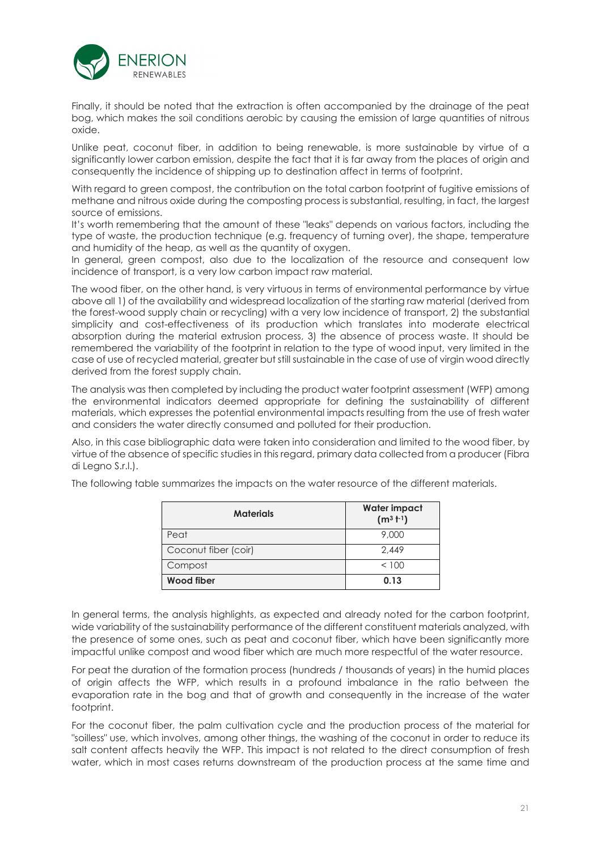

Finally, it should be noted that the extraction is often accompanied by the drainage of the peat bog, which makes the soil conditions aerobic by causing the emission of large quantities of nitrous oxide.

Unlike peat, coconut fiber, in addition to being renewable, is more sustainable by virtue of a significantly lower carbon emission, despite the fact that it is far away from the places of origin and consequently the incidence of shipping up to destination affect in terms of footprint.

With regard to green compost, the contribution on the total carbon footprint of fugitive emissions of methane and nitrous oxide during the composting process is substantial, resulting, in fact, the largest source of emissions.

It's worth remembering that the amount of these "leaks" depends on various factors, including the type of waste, the production technique (e.g. frequency of turning over), the shape, temperature and humidity of the heap, as well as the quantity of oxygen.

In general, green compost, also due to the localization of the resource and consequent low incidence of transport, is a very low carbon impact raw material.

The wood fiber, on the other hand, is very virtuous in terms of environmental performance by virtue above all 1) of the availability and widespread localization of the starting raw material (derived from the forest-wood supply chain or recycling) with a very low incidence of transport, 2) the substantial simplicity and cost-effectiveness of its production which translates into moderate electrical absorption during the material extrusion process, 3) the absence of process waste. It should be remembered the variability of the footprint in relation to the type of wood input, very limited in the case of use of recycled material, greater but still sustainable in the case of use of virgin wood directly derived from the forest supply chain.

The analysis was then completed by including the product water footprint assessment (WFP) among the environmental indicators deemed appropriate for defining the sustainability of different materials, which expresses the potential environmental impacts resulting from the use of fresh water and considers the water directly consumed and polluted for their production.

Also, in this case bibliographic data were taken into consideration and limited to the wood fiber, by virtue of the absence of specific studies in this regard, primary data collected from a producer (Fibra di Legno S.r.l.).

|  |  |  | The following table summarizes the impacts on the water resource of the different materials. |  |  |  |  |  |  |  |  |  |  |  |
|--|--|--|----------------------------------------------------------------------------------------------|--|--|--|--|--|--|--|--|--|--|--|
|--|--|--|----------------------------------------------------------------------------------------------|--|--|--|--|--|--|--|--|--|--|--|

| <b>Materials</b>     | <b>Water impact</b><br>$(m^3 t^{-1})$ |
|----------------------|---------------------------------------|
| Peat                 | 9,000                                 |
| Coconut fiber (coir) | 2.449                                 |
| Compost              | < 100                                 |
| <b>Wood fiber</b>    | 0.13                                  |

In general terms, the analysis highlights, as expected and already noted for the carbon footprint, wide variability of the sustainability performance of the different constituent materials analyzed, with the presence of some ones, such as peat and coconut fiber, which have been significantly more impactful unlike compost and wood fiber which are much more respectful of the water resource.

For peat the duration of the formation process (hundreds / thousands of years) in the humid places of origin affects the WFP, which results in a profound imbalance in the ratio between the evaporation rate in the bog and that of growth and consequently in the increase of the water footprint.

For the coconut fiber, the palm cultivation cycle and the production process of the material for "soilless" use, which involves, among other things, the washing of the coconut in order to reduce its salt content affects heavily the WFP. This impact is not related to the direct consumption of fresh water, which in most cases returns downstream of the production process at the same time and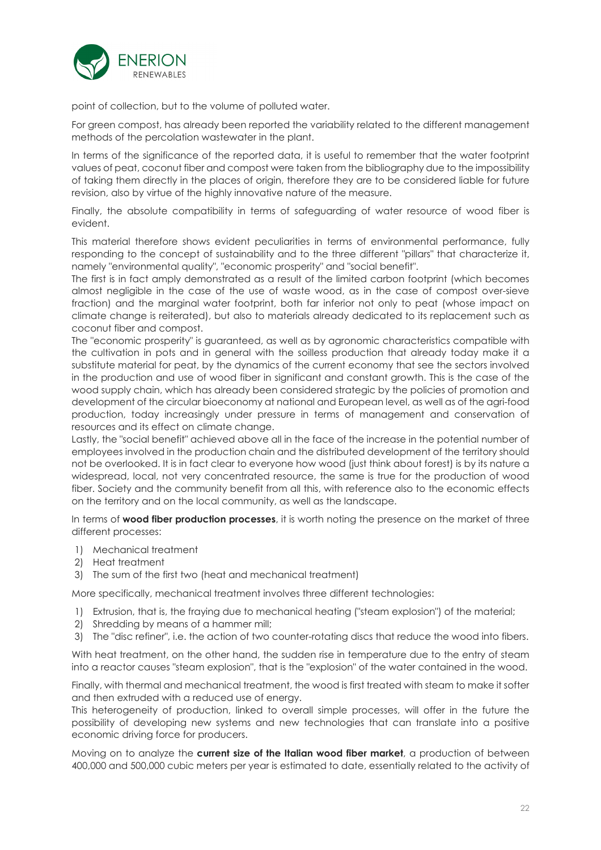

point of collection, but to the volume of polluted water.

For green compost, has already been reported the variability related to the different management methods of the percolation wastewater in the plant.

In terms of the significance of the reported data, it is useful to remember that the water footprint values of peat, coconut fiber and compost were taken from the bibliography due to the impossibility of taking them directly in the places of origin, therefore they are to be considered liable for future revision, also by virtue of the highly innovative nature of the measure.

Finally, the absolute compatibility in terms of safeguarding of water resource of wood fiber is evident.

This material therefore shows evident peculiarities in terms of environmental performance, fully responding to the concept of sustainability and to the three different "pillars" that characterize it, namely "environmental quality", "economic prosperity" and "social benefit".

The first is in fact amply demonstrated as a result of the limited carbon footprint (which becomes almost negligible in the case of the use of waste wood, as in the case of compost over-sieve fraction) and the marginal water footprint, both far inferior not only to peat (whose impact on climate change is reiterated), but also to materials already dedicated to its replacement such as coconut fiber and compost.

The "economic prosperity" is guaranteed, as well as by agronomic characteristics compatible with the cultivation in pots and in general with the soilless production that already today make it a substitute material for peat, by the dynamics of the current economy that see the sectors involved in the production and use of wood fiber in significant and constant growth. This is the case of the wood supply chain, which has already been considered strategic by the policies of promotion and development of the circular bioeconomy at national and European level, as well as of the agri-food production, today increasingly under pressure in terms of management and conservation of resources and its effect on climate change.

Lastly, the "social benefit" achieved above all in the face of the increase in the potential number of employees involved in the production chain and the distributed development of the territory should not be overlooked. It is in fact clear to everyone how wood (just think about forest) is by its nature a widespread, local, not very concentrated resource, the same is true for the production of wood fiber. Society and the community benefit from all this, with reference also to the economic effects on the territory and on the local community, as well as the landscape.

In terms of **wood fiber production processes**, it is worth noting the presence on the market of three different processes:

- 1) Mechanical treatment
- 2) Heat treatment
- 3) The sum of the first two (heat and mechanical treatment)

More specifically, mechanical treatment involves three different technologies:

- 1) Extrusion, that is, the fraying due to mechanical heating ("steam explosion") of the material;
- 2) Shredding by means of a hammer mill;
- 3) The "disc refiner", i.e. the action of two counter-rotating discs that reduce the wood into fibers.

With heat treatment, on the other hand, the sudden rise in temperature due to the entry of steam into a reactor causes "steam explosion", that is the "explosion" of the water contained in the wood.

Finally, with thermal and mechanical treatment, the wood is first treated with steam to make it softer and then extruded with a reduced use of energy.

This heterogeneity of production, linked to overall simple processes, will offer in the future the possibility of developing new systems and new technologies that can translate into a positive economic driving force for producers.

Moving on to analyze the **current size of the Italian wood fiber market**, a production of between 400,000 and 500,000 cubic meters per year is estimated to date, essentially related to the activity of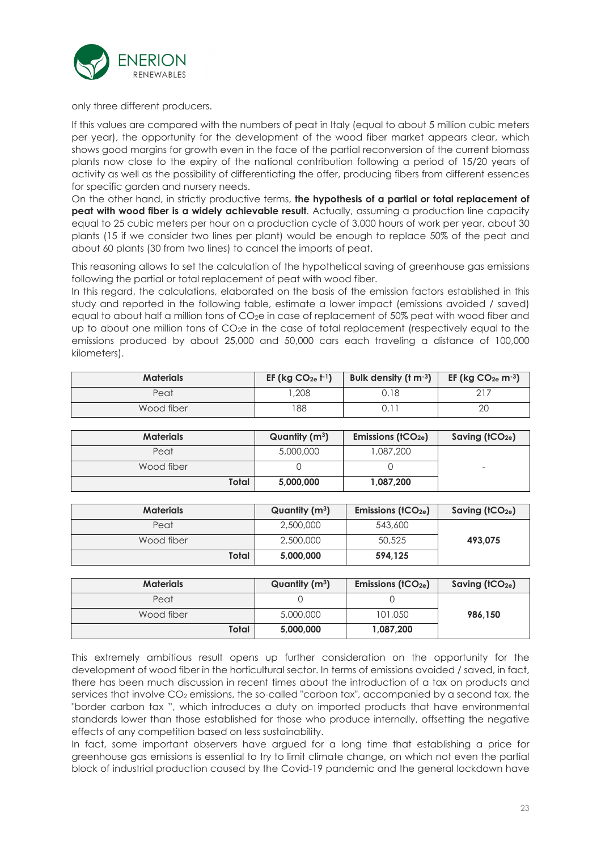

only three different producers.

If this values are compared with the numbers of peat in Italy (equal to about 5 million cubic meters per year), the opportunity for the development of the wood fiber market appears clear, which shows good margins for growth even in the face of the partial reconversion of the current biomass plants now close to the expiry of the national contribution following a period of 15/20 years of activity as well as the possibility of differentiating the offer, producing fibers from different essences for specific garden and nursery needs.

On the other hand, in strictly productive terms, **the hypothesis of a partial or total replacement of peat with wood fiber is a widely achievable result**. Actually, assuming a production line capacity equal to 25 cubic meters per hour on a production cycle of 3,000 hours of work per year, about 30 plants (15 if we consider two lines per plant) would be enough to replace 50% of the peat and about 60 plants (30 from two lines) to cancel the imports of peat.

This reasoning allows to set the calculation of the hypothetical saving of greenhouse gas emissions following the partial or total replacement of peat with wood fiber.

In this regard, the calculations, elaborated on the basis of the emission factors established in this study and reported in the following table, estimate a lower impact (emissions avoided / saved) equal to about half a million tons of CO<sub>2</sub>e in case of replacement of 50% peat with wood fiber and up to about one million tons of CO<sub>2</sub>e in the case of total replacement (respectively equal to the emissions produced by about 25,000 and 50,000 cars each traveling a distance of 100,000 kilometers).

| <b>Materials</b> | EF ( $kg CO_{2e}$ $t^{-1}$ ) | Bulk density $(t m^{-3})$ | EF (kg $CO2e$ m <sup>-3</sup> ) |
|------------------|------------------------------|---------------------------|---------------------------------|
| Peat             | .208                         | ว.18                      |                                 |
| Wood fiber       | 88                           |                           | 20                              |

| <b>Materials</b> | Quantity $(m^3)$ | Emissions $(fCO2e)$ | Saving $(tCO2e)$ |
|------------------|------------------|---------------------|------------------|
| Peat             | 5,000,000        | 1,087,200           |                  |
| Wood fiber       |                  |                     | -                |
| Total            | 5,000,000        | 1,087,200           |                  |

| <b>Materials</b> | Quantity $(m^3)$ | Emissions ( $tCO2e$ ) | Saving $(tCO2e)$ |
|------------------|------------------|-----------------------|------------------|
| Peat             | 2,500,000        | 543,600               |                  |
| Wood fiber       | 2,500,000        | 50,525                | 493.075          |
| Total            | 5,000,000        | 594.125               |                  |

| <b>Materials</b> | Quantity $(m^3)$ | Emissions ( $tCO2e$ ) | Saving $(fCO2e)$ |
|------------------|------------------|-----------------------|------------------|
| Peat             |                  |                       |                  |
| Wood fiber       | 5,000,000        | 101,050               | 986.150          |
| Total            | 5,000,000        | 1,087,200             |                  |

This extremely ambitious result opens up further consideration on the opportunity for the development of wood fiber in the horticultural sector. In terms of emissions avoided / saved, in fact, there has been much discussion in recent times about the introduction of a tax on products and services that involve CO<sub>2</sub> emissions, the so-called "carbon tax", accompanied by a second tax, the "border carbon tax ", which introduces a duty on imported products that have environmental standards lower than those established for those who produce internally, offsetting the negative effects of any competition based on less sustainability.

In fact, some important observers have argued for a long time that establishing a price for greenhouse gas emissions is essential to try to limit climate change, on which not even the partial block of industrial production caused by the Covid-19 pandemic and the general lockdown have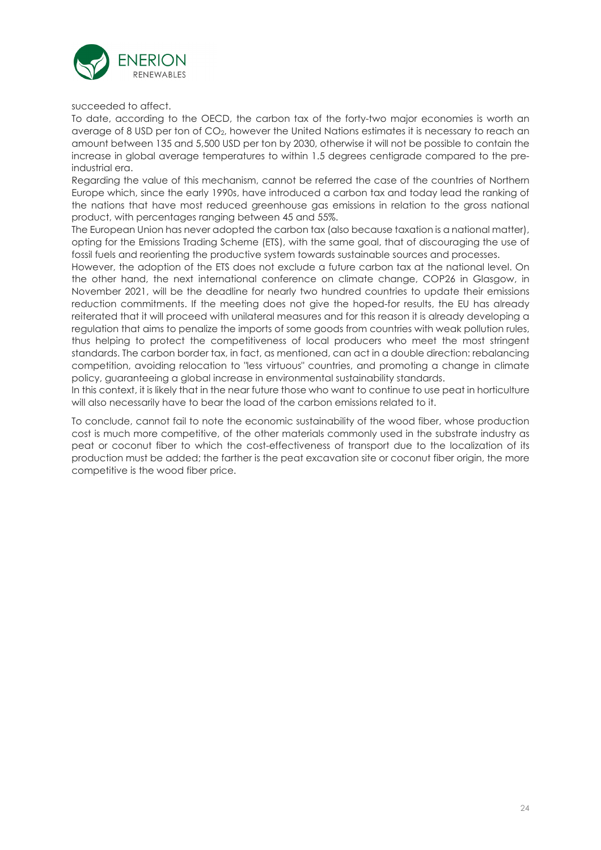

succeeded to affect.

To date, according to the OECD, the carbon tax of the forty-two major economies is worth an average of 8 USD per ton of CO2, however the United Nations estimates it is necessary to reach an amount between 135 and 5,500 USD per ton by 2030, otherwise it will not be possible to contain the increase in global average temperatures to within 1.5 degrees centigrade compared to the preindustrial era.

Regarding the value of this mechanism, cannot be referred the case of the countries of Northern Europe which, since the early 1990s, have introduced a carbon tax and today lead the ranking of the nations that have most reduced greenhouse gas emissions in relation to the gross national product, with percentages ranging between 45 and 55%.

The European Union has never adopted the carbon tax (also because taxation is a national matter), opting for the Emissions Trading Scheme (ETS), with the same goal, that of discouraging the use of fossil fuels and reorienting the productive system towards sustainable sources and processes.

However, the adoption of the ETS does not exclude a future carbon tax at the national level. On the other hand, the next international conference on climate change, COP26 in Glasgow, in November 2021, will be the deadline for nearly two hundred countries to update their emissions reduction commitments. If the meeting does not give the hoped-for results, the EU has already reiterated that it will proceed with unilateral measures and for this reason it is already developing a regulation that aims to penalize the imports of some goods from countries with weak pollution rules, thus helping to protect the competitiveness of local producers who meet the most stringent standards. The carbon border tax, in fact, as mentioned, can act in a double direction: rebalancing competition, avoiding relocation to "less virtuous" countries, and promoting a change in climate policy, guaranteeing a global increase in environmental sustainability standards.

In this context, it is likely that in the near future those who want to continue to use peat in horticulture will also necessarily have to bear the load of the carbon emissions related to it.

To conclude, cannot fail to note the economic sustainability of the wood fiber, whose production cost is much more competitive, of the other materials commonly used in the substrate industry as peat or coconut fiber to which the cost-effectiveness of transport due to the localization of its production must be added; the farther is the peat excavation site or coconut fiber origin, the more competitive is the wood fiber price.